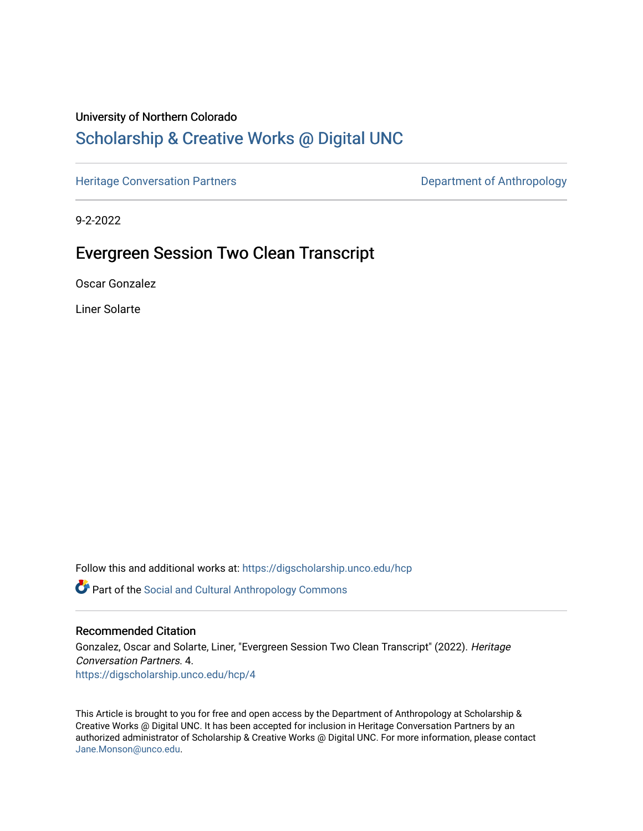## University of Northern Colorado

# [Scholarship & Creative Works @ Digital UNC](https://digscholarship.unco.edu/)

[Heritage Conversation Partners](https://digscholarship.unco.edu/hcp) **Department of Anthropology** 

9-2-2022

# Evergreen Session Two Clean Transcript

Oscar Gonzalez

Liner Solarte

Follow this and additional works at: [https://digscholarship.unco.edu/hcp](https://digscholarship.unco.edu/hcp?utm_source=digscholarship.unco.edu%2Fhcp%2F4&utm_medium=PDF&utm_campaign=PDFCoverPages) 

Part of the [Social and Cultural Anthropology Commons](http://network.bepress.com/hgg/discipline/323?utm_source=digscholarship.unco.edu%2Fhcp%2F4&utm_medium=PDF&utm_campaign=PDFCoverPages) 

### Recommended Citation

Gonzalez, Oscar and Solarte, Liner, "Evergreen Session Two Clean Transcript" (2022). Heritage Conversation Partners. 4. [https://digscholarship.unco.edu/hcp/4](https://digscholarship.unco.edu/hcp/4?utm_source=digscholarship.unco.edu%2Fhcp%2F4&utm_medium=PDF&utm_campaign=PDFCoverPages)

This Article is brought to you for free and open access by the Department of Anthropology at Scholarship & Creative Works @ Digital UNC. It has been accepted for inclusion in Heritage Conversation Partners by an authorized administrator of Scholarship & Creative Works @ Digital UNC. For more information, please contact [Jane.Monson@unco.edu.](mailto:Jane.Monson@unco.edu)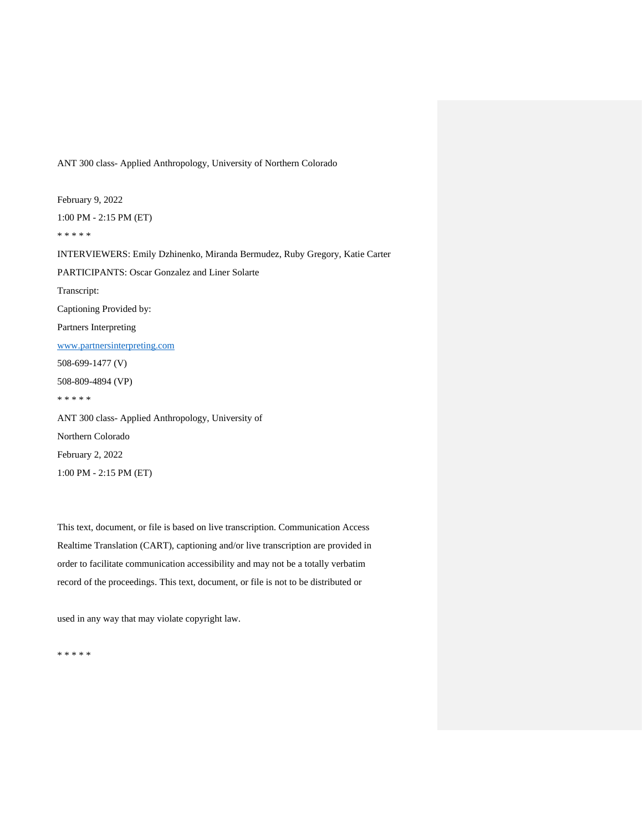ANT 300 class- Applied Anthropology, University of Northern Colorado

February 9, 2022 1:00 PM - 2:15 PM (ET) \* \* \* \* \* INTERVIEWERS: Emily Dzhinenko, Miranda Bermudez, Ruby Gregory, Katie Carter PARTICIPANTS: Oscar Gonzalez and Liner Solarte Transcript: Captioning Provided by: Partners Interpreting www.partnersinterpreting.com 508-699-1477 (V) 508-809-4894 (VP) \* \* \* \* \* ANT 300 class- Applied Anthropology, University of Northern Colorado February 2, 2022 1:00 PM - 2:15 PM (ET)

This text, document, or file is based on live transcription. Communication Access Realtime Translation (CART), captioning and/or live transcription are provided in order to facilitate communication accessibility and may not be a totally verbatim record of the proceedings. This text, document, or file is not to be distributed or

used in any way that may violate copyright law.

\* \* \* \* \*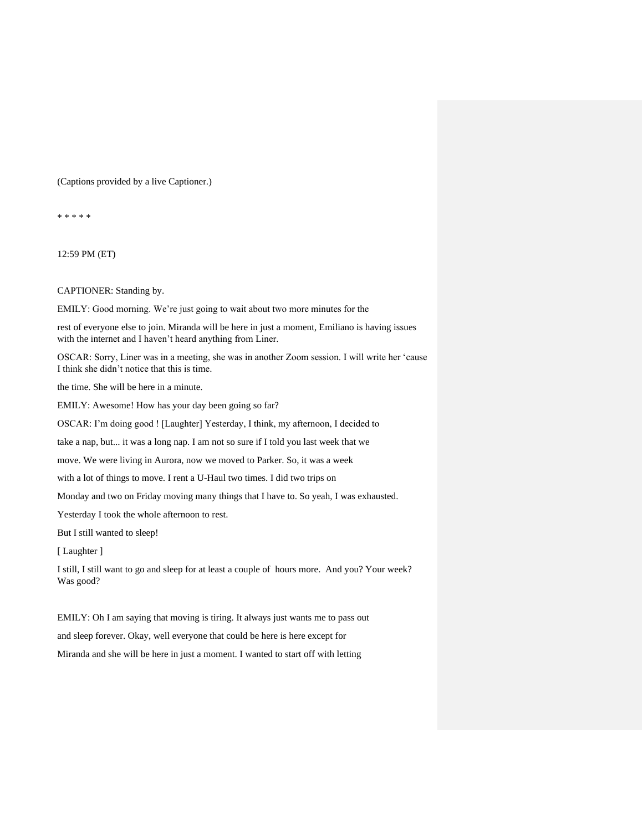#### (Captions provided by a live Captioner.)

\* \* \* \* \*

12:59 PM (ET)

CAPTIONER: Standing by.

EMILY: Good morning. We're just going to wait about two more minutes for the

rest of everyone else to join. Miranda will be here in just a moment, Emiliano is having issues with the internet and I haven't heard anything from Liner.

OSCAR: Sorry, Liner was in a meeting, she was in another Zoom session. I will write her 'cause I think she didn't notice that this is time.

the time. She will be here in a minute.

EMILY: Awesome! How has your day been going so far?

OSCAR: I'm doing good ! [Laughter] Yesterday, I think, my afternoon, I decided to

take a nap, but... it was a long nap. I am not so sure if I told you last week that we

move. We were living in Aurora, now we moved to Parker. So, it was a week

with a lot of things to move. I rent a U-Haul two times. I did two trips on

Monday and two on Friday moving many things that I have to. So yeah, I was exhausted.

Yesterday I took the whole afternoon to rest.

But I still wanted to sleep!

[ Laughter ]

I still, I still want to go and sleep for at least a couple of hours more. And you? Your week? Was good?

EMILY: Oh I am saying that moving is tiring. It always just wants me to pass out and sleep forever. Okay, well everyone that could be here is here except for Miranda and she will be here in just a moment. I wanted to start off with letting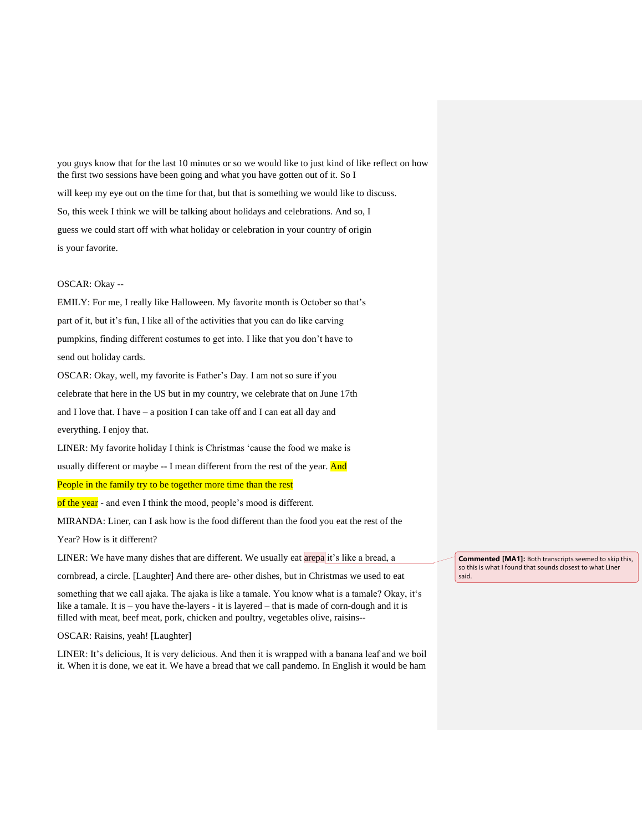you guys know that for the last 10 minutes or so we would like to just kind of like reflect on how the first two sessions have been going and what you have gotten out of it. So I

will keep my eye out on the time for that, but that is something we would like to discuss.

So, this week I think we will be talking about holidays and celebrations. And so, I

guess we could start off with what holiday or celebration in your country of origin is your favorite.

#### OSCAR: Okay --

EMILY: For me, I really like Halloween. My favorite month is October so that's part of it, but it's fun, I like all of the activities that you can do like carving pumpkins, finding different costumes to get into. I like that you don't have to send out holiday cards.

OSCAR: Okay, well, my favorite is Father's Day. I am not so sure if you celebrate that here in the US but in my country, we celebrate that on June 17th and I love that. I have – a position I can take off and I can eat all day and everything. I enjoy that.

LINER: My favorite holiday I think is Christmas 'cause the food we make is

usually different or maybe -- I mean different from the rest of the year. And

### People in the family try to be together more time than the rest

of the year - and even I think the mood, people's mood is different.

MIRANDA: Liner, can I ask how is the food different than the food you eat the rest of the

Year? How is it different?

LINER: We have many dishes that are different. We usually eat arepa it's like a bread, a

cornbread, a circle. [Laughter] And there are- other dishes, but in Christmas we used to eat

something that we call ajaka. The ajaka is like a tamale. You know what is a tamale? Okay, it's like a tamale. It is – you have the-layers - it is layered – that is made of corn-dough and it is filled with meat, beef meat, pork, chicken and poultry, vegetables olive, raisins--

OSCAR: Raisins, yeah! [Laughter]

LINER: It's delicious, It is very delicious. And then it is wrapped with a banana leaf and we boil it. When it is done, we eat it. We have a bread that we call pandemo. In English it would be ham

**Commented [MA1]:** Both transcripts seemed to skip this, so this is what I found that sounds closest to what Liner said.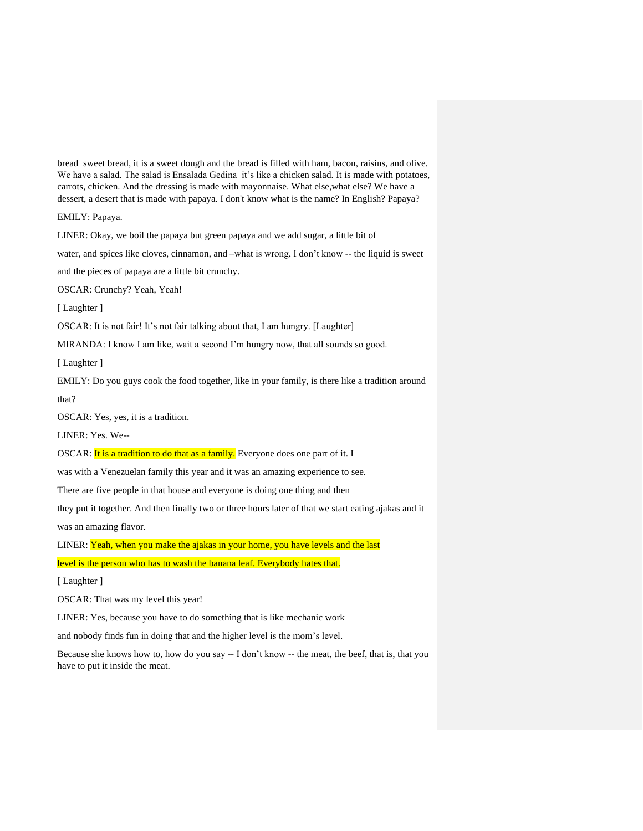bread sweet bread, it is a sweet dough and the bread is filled with ham, bacon, raisins, and olive. We have a salad. The salad is Ensalada Gedina it's like a chicken salad. It is made with potatoes, carrots, chicken. And the dressing is made with mayonnaise. What else,what else? We have a dessert, a desert that is made with papaya. I don't know what is the name? In English? Papaya?

EMILY: Papaya.

LINER: Okay, we boil the papaya but green papaya and we add sugar, a little bit of

water, and spices like cloves, cinnamon, and –what is wrong, I don't know -- the liquid is sweet

and the pieces of papaya are a little bit crunchy.

OSCAR: Crunchy? Yeah, Yeah!

[ Laughter ]

OSCAR: It is not fair! It's not fair talking about that, I am hungry. [Laughter]

MIRANDA: I know I am like, wait a second I'm hungry now, that all sounds so good.

[Laughter]

EMILY: Do you guys cook the food together, like in your family, is there like a tradition around

that?

OSCAR: Yes, yes, it is a tradition.

LINER: Yes. We--

OSCAR: It is a tradition to do that as a family. Everyone does one part of it. I

was with a Venezuelan family this year and it was an amazing experience to see.

There are five people in that house and everyone is doing one thing and then

they put it together. And then finally two or three hours later of that we start eating ajakas and it was an amazing flavor.

LINER: Yeah, when you make the ajakas in your home, you have levels and the last

level is the person who has to wash the banana leaf. Everybody hates that.

[ Laughter ]

OSCAR: That was my level this year!

LINER: Yes, because you have to do something that is like mechanic work

and nobody finds fun in doing that and the higher level is the mom's level.

Because she knows how to, how do you say -- I don't know -- the meat, the beef, that is, that you have to put it inside the meat.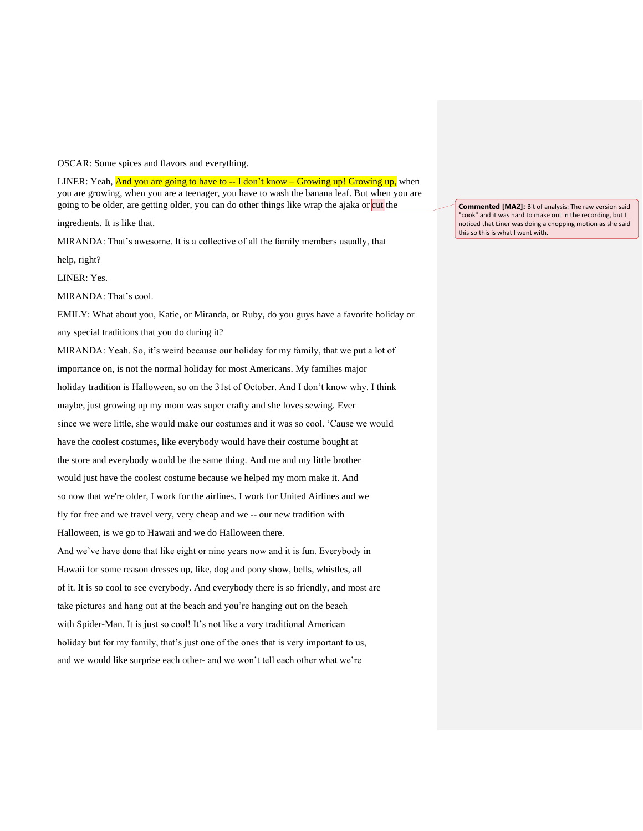OSCAR: Some spices and flavors and everything.

LINER: Yeah, **And you are going to have to -- I don't know – Growing up! Growing up,** when you are growing, when you are a teenager, you have to wash the banana leaf. But when you are going to be older, are getting older, you can do other things like wrap the ajaka or cut the

ingredients. It is like that.

MIRANDA: That's awesome. It is a collective of all the family members usually, that

help, right?

LINER: Yes.

MIRANDA: That's cool.

EMILY: What about you, Katie, or Miranda, or Ruby, do you guys have a favorite holiday or any special traditions that you do during it?

MIRANDA: Yeah. So, it's weird because our holiday for my family, that we put a lot of importance on, is not the normal holiday for most Americans. My families major holiday tradition is Halloween, so on the 31st of October. And I don't know why. I think maybe, just growing up my mom was super crafty and she loves sewing. Ever since we were little, she would make our costumes and it was so cool. 'Cause we would have the coolest costumes, like everybody would have their costume bought at the store and everybody would be the same thing. And me and my little brother would just have the coolest costume because we helped my mom make it. And so now that we're older, I work for the airlines. I work for United Airlines and we fly for free and we travel very, very cheap and we -- our new tradition with Halloween, is we go to Hawaii and we do Halloween there. And we've have done that like eight or nine years now and it is fun. Everybody in Hawaii for some reason dresses up, like, dog and pony show, bells, whistles, all of it. It is so cool to see everybody. And everybody there is so friendly, and most are take pictures and hang out at the beach and you're hanging out on the beach with Spider-Man. It is just so cool! It's not like a very traditional American holiday but for my family, that's just one of the ones that is very important to us, and we would like surprise each other- and we won't tell each other what we're

**Commented [MA2]:** Bit of analysis: The raw version said "cook" and it was hard to make out in the recording, but I noticed that Liner was doing a chopping motion as she said this so this is what I went with.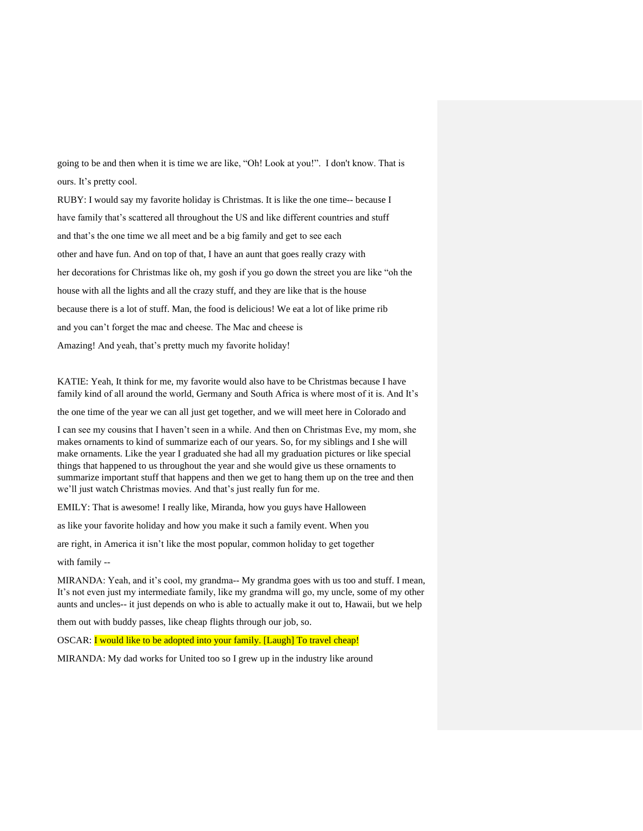going to be and then when it is time we are like, "Oh! Look at you!". I don't know. That is ours. It's pretty cool.

RUBY: I would say my favorite holiday is Christmas. It is like the one time-- because I have family that's scattered all throughout the US and like different countries and stuff and that's the one time we all meet and be a big family and get to see each other and have fun. And on top of that, I have an aunt that goes really crazy with her decorations for Christmas like oh, my gosh if you go down the street you are like "oh the house with all the lights and all the crazy stuff, and they are like that is the house because there is a lot of stuff. Man, the food is delicious! We eat a lot of like prime rib and you can't forget the mac and cheese. The Mac and cheese is Amazing! And yeah, that's pretty much my favorite holiday!

KATIE: Yeah, It think for me, my favorite would also have to be Christmas because I have family kind of all around the world, Germany and South Africa is where most of it is. And It's

the one time of the year we can all just get together, and we will meet here in Colorado and

I can see my cousins that I haven't seen in a while. And then on Christmas Eve, my mom, she makes ornaments to kind of summarize each of our years. So, for my siblings and I she will make ornaments. Like the year I graduated she had all my graduation pictures or like special things that happened to us throughout the year and she would give us these ornaments to summarize important stuff that happens and then we get to hang them up on the tree and then we'll just watch Christmas movies. And that's just really fun for me.

EMILY: That is awesome! I really like, Miranda, how you guys have Halloween

as like your favorite holiday and how you make it such a family event. When you

are right, in America it isn't like the most popular, common holiday to get together

with family --

MIRANDA: Yeah, and it's cool, my grandma-- My grandma goes with us too and stuff. I mean, It's not even just my intermediate family, like my grandma will go, my uncle, some of my other aunts and uncles-- it just depends on who is able to actually make it out to, Hawaii, but we help

them out with buddy passes, like cheap flights through our job, so.

OSCAR: I would like to be adopted into your family. [Laugh] To travel cheap!

MIRANDA: My dad works for United too so I grew up in the industry like around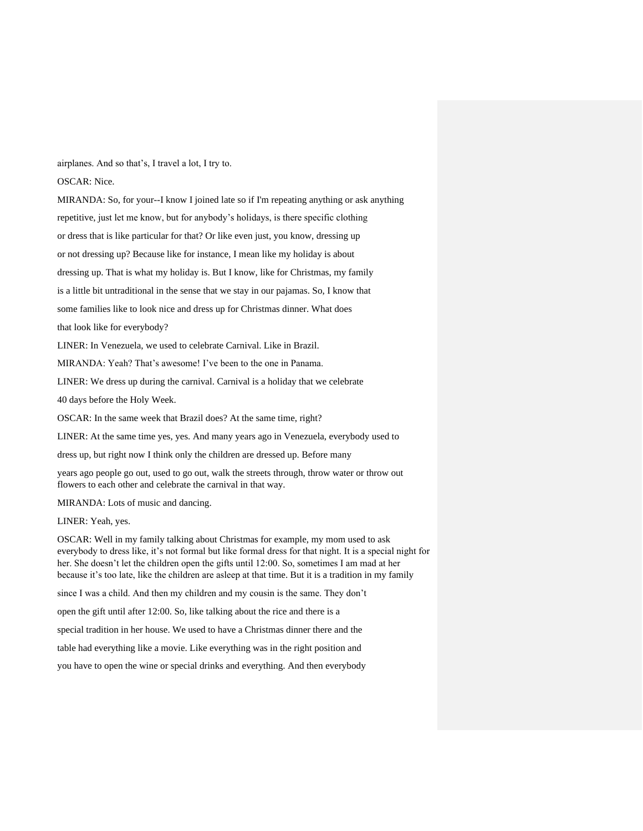airplanes. And so that's, I travel a lot, I try to.

OSCAR: Nice.

MIRANDA: So, for your--I know I joined late so if I'm repeating anything or ask anything repetitive, just let me know, but for anybody's holidays, is there specific clothing or dress that is like particular for that? Or like even just, you know, dressing up or not dressing up? Because like for instance, I mean like my holiday is about dressing up. That is what my holiday is. But I know, like for Christmas, my family is a little bit untraditional in the sense that we stay in our pajamas. So, I know that some families like to look nice and dress up for Christmas dinner. What does that look like for everybody?

LINER: In Venezuela, we used to celebrate Carnival. Like in Brazil.

MIRANDA: Yeah? That's awesome! I've been to the one in Panama.

LINER: We dress up during the carnival. Carnival is a holiday that we celebrate

40 days before the Holy Week.

OSCAR: In the same week that Brazil does? At the same time, right?

LINER: At the same time yes, yes. And many years ago in Venezuela, everybody used to

dress up, but right now I think only the children are dressed up. Before many

years ago people go out, used to go out, walk the streets through, throw water or throw out flowers to each other and celebrate the carnival in that way.

MIRANDA: Lots of music and dancing.

LINER: Yeah, yes.

OSCAR: Well in my family talking about Christmas for example, my mom used to ask everybody to dress like, it's not formal but like formal dress for that night. It is a special night for her. She doesn't let the children open the gifts until 12:00. So, sometimes I am mad at her because it's too late, like the children are asleep at that time. But it is a tradition in my family

since I was a child. And then my children and my cousin is the same. They don't

open the gift until after 12:00. So, like talking about the rice and there is a

special tradition in her house. We used to have a Christmas dinner there and the

table had everything like a movie. Like everything was in the right position and

you have to open the wine or special drinks and everything. And then everybody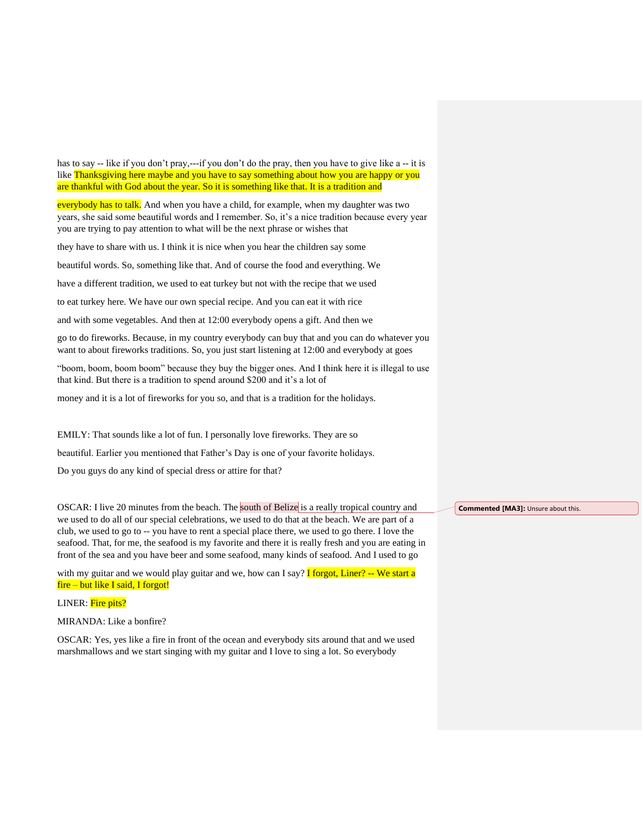has to say -- like if you don't pray,---if you don't do the pray, then you have to give like a -- it is like Thanksgiving here maybe and you have to say something about how you are happy or you are thankful with God about the year. So it is something like that. It is a tradition and

everybody has to talk. And when you have a child, for example, when my daughter was two years, she said some beautiful words and I remember. So, it's a nice tradition because every year you are trying to pay attention to what will be the next phrase or wishes that

they have to share with us. I think it is nice when you hear the children say some

beautiful words. So, something like that. And of course the food and everything. We

have a different tradition, we used to eat turkey but not with the recipe that we used

to eat turkey here. We have our own special recipe. And you can eat it with rice

and with some vegetables. And then at 12:00 everybody opens a gift. And then we

go to do fireworks. Because, in my country everybody can buy that and you can do whatever you want to about fireworks traditions. So, you just start listening at 12:00 and everybody at goes

"boom, boom, boom boom" because they buy the bigger ones. And I think here it is illegal to use that kind. But there is a tradition to spend around \$200 and it's a lot of

money and it is a lot of fireworks for you so, and that is a tradition for the holidays.

EMILY: That sounds like a lot of fun. I personally love fireworks. They are so

beautiful. Earlier you mentioned that Father's Day is one of your favorite holidays.

Do you guys do any kind of special dress or attire for that?

OSCAR: I live 20 minutes from the beach. The south of Belize is a really tropical country and we used to do all of our special celebrations, we used to do that at the beach. We are part of a club, we used to go to -- you have to rent a special place there, we used to go there. I love the seafood. That, for me, the seafood is my favorite and there it is really fresh and you are eating in front of the sea and you have beer and some seafood, many kinds of seafood. And I used to go

with my guitar and we would play guitar and we, how can I say? **I** forgot, Liner? -- We start a fire – but like I said, I forgot!

LINER: Fire pits?

MIRANDA: Like a bonfire?

OSCAR: Yes, yes like a fire in front of the ocean and everybody sits around that and we used marshmallows and we start singing with my guitar and I love to sing a lot. So everybody

**Commented [MA3]:** Unsure about this.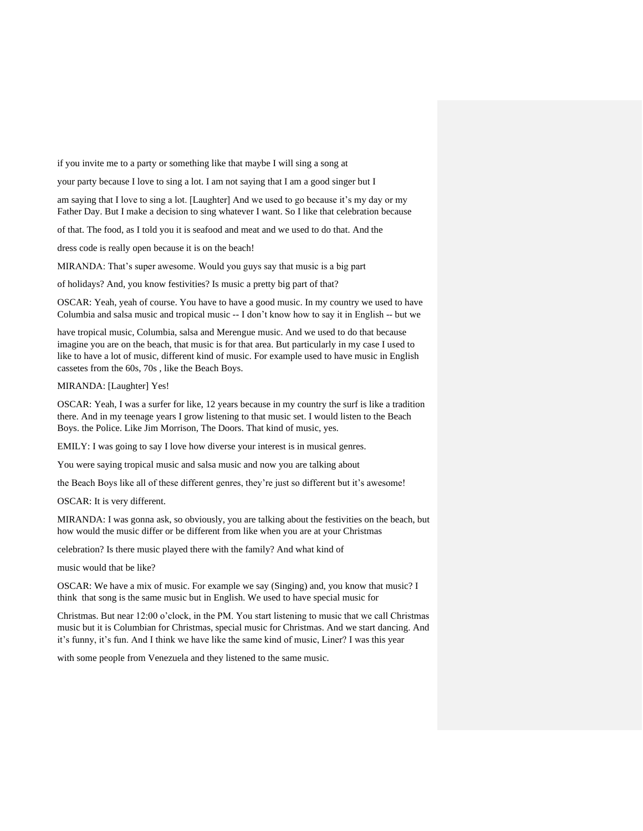if you invite me to a party or something like that maybe I will sing a song at

your party because I love to sing a lot. I am not saying that I am a good singer but I

am saying that I love to sing a lot. [Laughter] And we used to go because it's my day or my Father Day. But I make a decision to sing whatever I want. So I like that celebration because

of that. The food, as I told you it is seafood and meat and we used to do that. And the

dress code is really open because it is on the beach!

MIRANDA: That's super awesome. Would you guys say that music is a big part

of holidays? And, you know festivities? Is music a pretty big part of that?

OSCAR: Yeah, yeah of course. You have to have a good music. In my country we used to have Columbia and salsa music and tropical music -- I don't know how to say it in English -- but we

have tropical music, Columbia, salsa and Merengue music. And we used to do that because imagine you are on the beach, that music is for that area. But particularly in my case I used to like to have a lot of music, different kind of music. For example used to have music in English cassetes from the 60s, 70s , like the Beach Boys.

#### MIRANDA: [Laughter] Yes!

OSCAR: Yeah, I was a surfer for like, 12 years because in my country the surf is like a tradition there. And in my teenage years I grow listening to that music set. I would listen to the Beach Boys. the Police. Like Jim Morrison, The Doors. That kind of music, yes.

EMILY: I was going to say I love how diverse your interest is in musical genres.

You were saying tropical music and salsa music and now you are talking about

the Beach Boys like all of these different genres, they're just so different but it's awesome!

OSCAR: It is very different.

MIRANDA: I was gonna ask, so obviously, you are talking about the festivities on the beach, but how would the music differ or be different from like when you are at your Christmas

celebration? Is there music played there with the family? And what kind of

music would that be like?

OSCAR: We have a mix of music. For example we say (Singing) and, you know that music? I think that song is the same music but in English. We used to have special music for

Christmas. But near 12:00 o'clock, in the PM. You start listening to music that we call Christmas music but it is Columbian for Christmas, special music for Christmas. And we start dancing. And it's funny, it's fun. And I think we have like the same kind of music, Liner? I was this year

with some people from Venezuela and they listened to the same music.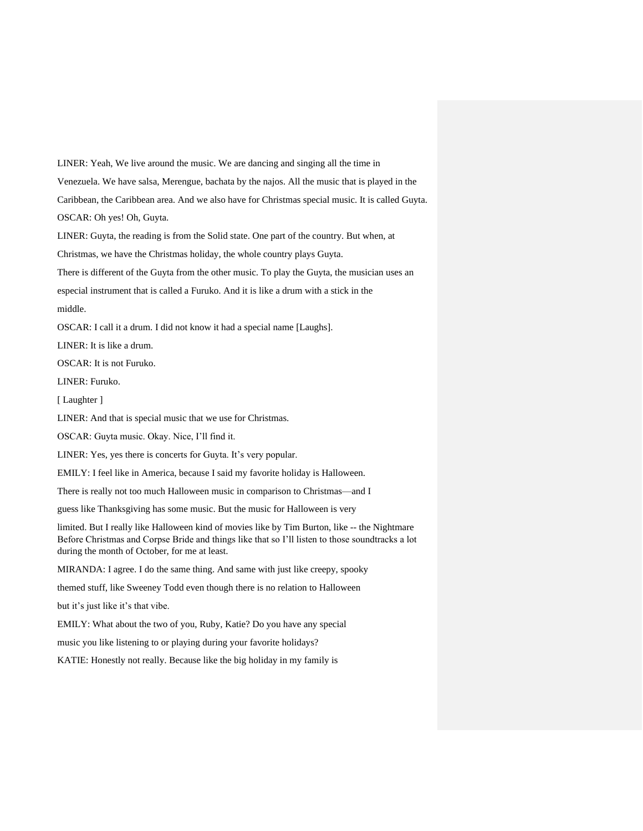LINER: Yeah, We live around the music. We are dancing and singing all the time in Venezuela. We have salsa, Merengue, bachata by the najos. All the music that is played in the Caribbean, the Caribbean area. And we also have for Christmas special music. It is called Guyta. OSCAR: Oh yes! Oh, Guyta.

LINER: Guyta, the reading is from the Solid state. One part of the country. But when, at

Christmas, we have the Christmas holiday, the whole country plays Guyta.

There is different of the Guyta from the other music. To play the Guyta, the musician uses an

especial instrument that is called a Furuko. And it is like a drum with a stick in the

middle.

OSCAR: I call it a drum. I did not know it had a special name [Laughs].

LINER: It is like a drum.

OSCAR: It is not Furuko.

LINER: Furuko.

[ Laughter ]

LINER: And that is special music that we use for Christmas.

OSCAR: Guyta music. Okay. Nice, I'll find it.

LINER: Yes, yes there is concerts for Guyta. It's very popular.

EMILY: I feel like in America, because I said my favorite holiday is Halloween.

There is really not too much Halloween music in comparison to Christmas—and I

guess like Thanksgiving has some music. But the music for Halloween is very

limited. But I really like Halloween kind of movies like by Tim Burton, like -- the Nightmare Before Christmas and Corpse Bride and things like that so I'll listen to those soundtracks a lot during the month of October, for me at least.

MIRANDA: I agree. I do the same thing. And same with just like creepy, spooky

themed stuff, like Sweeney Todd even though there is no relation to Halloween

but it's just like it's that vibe.

EMILY: What about the two of you, Ruby, Katie? Do you have any special

music you like listening to or playing during your favorite holidays?

KATIE: Honestly not really. Because like the big holiday in my family is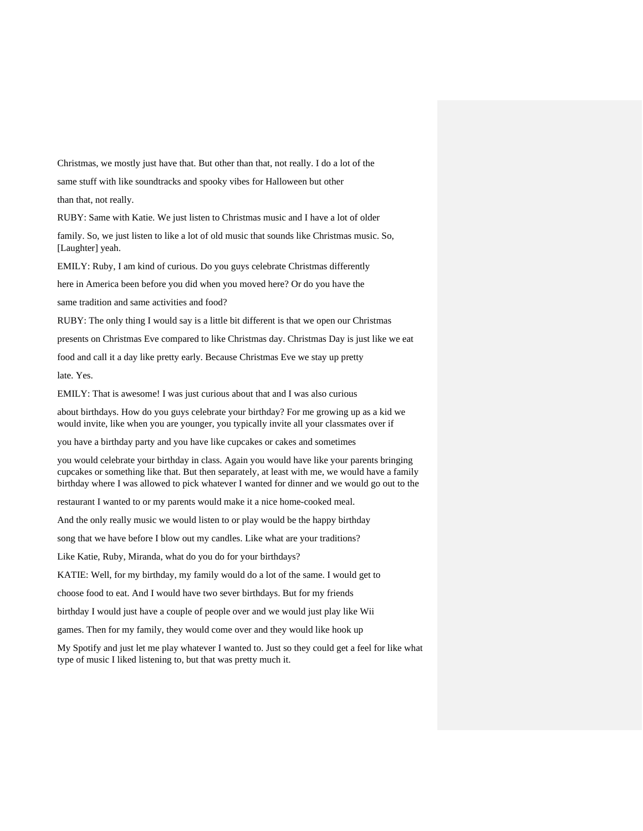Christmas, we mostly just have that. But other than that, not really. I do a lot of the

same stuff with like soundtracks and spooky vibes for Halloween but other

than that, not really.

RUBY: Same with Katie. We just listen to Christmas music and I have a lot of older

family. So, we just listen to like a lot of old music that sounds like Christmas music. So, [Laughter] yeah.

EMILY: Ruby, I am kind of curious. Do you guys celebrate Christmas differently

here in America been before you did when you moved here? Or do you have the

same tradition and same activities and food?

RUBY: The only thing I would say is a little bit different is that we open our Christmas

presents on Christmas Eve compared to like Christmas day. Christmas Day is just like we eat

food and call it a day like pretty early. Because Christmas Eve we stay up pretty

late. Yes.

EMILY: That is awesome! I was just curious about that and I was also curious

about birthdays. How do you guys celebrate your birthday? For me growing up as a kid we would invite, like when you are younger, you typically invite all your classmates over if

you have a birthday party and you have like cupcakes or cakes and sometimes

you would celebrate your birthday in class. Again you would have like your parents bringing cupcakes or something like that. But then separately, at least with me, we would have a family birthday where I was allowed to pick whatever I wanted for dinner and we would go out to the

restaurant I wanted to or my parents would make it a nice home-cooked meal.

And the only really music we would listen to or play would be the happy birthday

song that we have before I blow out my candles. Like what are your traditions?

Like Katie, Ruby, Miranda, what do you do for your birthdays?

KATIE: Well, for my birthday, my family would do a lot of the same. I would get to

choose food to eat. And I would have two sever birthdays. But for my friends

birthday I would just have a couple of people over and we would just play like Wii

games. Then for my family, they would come over and they would like hook up

My Spotify and just let me play whatever I wanted to. Just so they could get a feel for like what type of music I liked listening to, but that was pretty much it.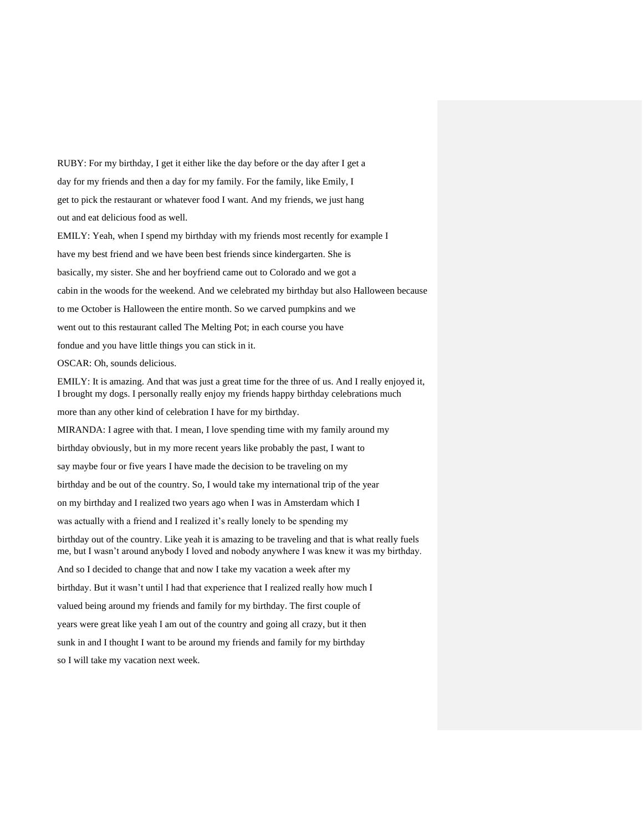RUBY: For my birthday, I get it either like the day before or the day after I get a day for my friends and then a day for my family. For the family, like Emily, I get to pick the restaurant or whatever food I want. And my friends, we just hang out and eat delicious food as well.

EMILY: Yeah, when I spend my birthday with my friends most recently for example I have my best friend and we have been best friends since kindergarten. She is basically, my sister. She and her boyfriend came out to Colorado and we got a cabin in the woods for the weekend. And we celebrated my birthday but also Halloween because to me October is Halloween the entire month. So we carved pumpkins and we went out to this restaurant called The Melting Pot; in each course you have fondue and you have little things you can stick in it. OSCAR: Oh, sounds delicious. EMILY: It is amazing. And that was just a great time for the three of us. And I really enjoyed it,

I brought my dogs. I personally really enjoy my friends happy birthday celebrations much

more than any other kind of celebration I have for my birthday.

MIRANDA: I agree with that. I mean, I love spending time with my family around my

birthday obviously, but in my more recent years like probably the past, I want to

say maybe four or five years I have made the decision to be traveling on my

birthday and be out of the country. So, I would take my international trip of the year

on my birthday and I realized two years ago when I was in Amsterdam which I

was actually with a friend and I realized it's really lonely to be spending my

birthday out of the country. Like yeah it is amazing to be traveling and that is what really fuels me, but I wasn't around anybody I loved and nobody anywhere I was knew it was my birthday.

And so I decided to change that and now I take my vacation a week after my

birthday. But it wasn't until I had that experience that I realized really how much I

valued being around my friends and family for my birthday. The first couple of

years were great like yeah I am out of the country and going all crazy, but it then

sunk in and I thought I want to be around my friends and family for my birthday

so I will take my vacation next week.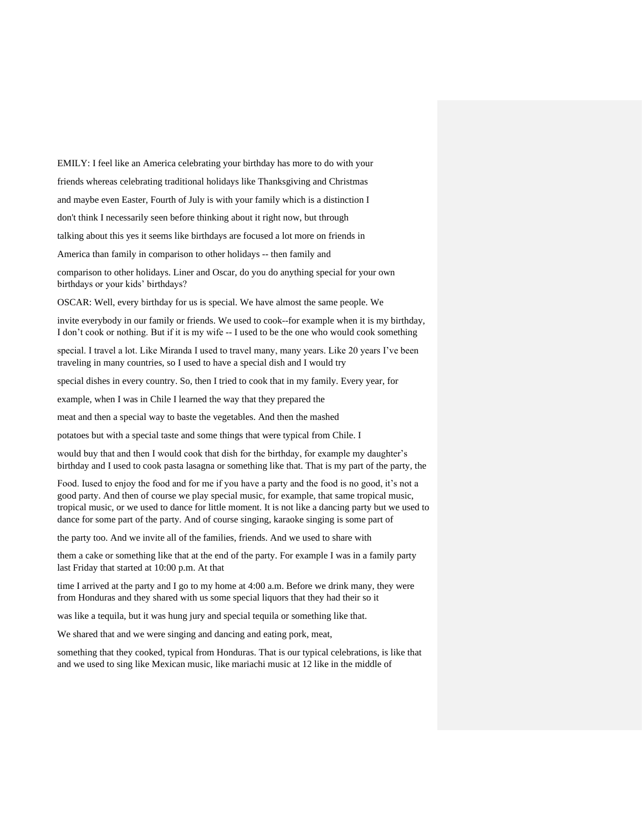EMILY: I feel like an America celebrating your birthday has more to do with your friends whereas celebrating traditional holidays like Thanksgiving and Christmas and maybe even Easter, Fourth of July is with your family which is a distinction I don't think I necessarily seen before thinking about it right now, but through talking about this yes it seems like birthdays are focused a lot more on friends in America than family in comparison to other holidays -- then family and

comparison to other holidays. Liner and Oscar, do you do anything special for your own birthdays or your kids' birthdays?

OSCAR: Well, every birthday for us is special. We have almost the same people. We

invite everybody in our family or friends. We used to cook--for example when it is my birthday, I don't cook or nothing. But if it is my wife -- I used to be the one who would cook something

special. I travel a lot. Like Miranda I used to travel many, many years. Like 20 years I've been traveling in many countries, so I used to have a special dish and I would try

special dishes in every country. So, then I tried to cook that in my family. Every year, for

example, when I was in Chile I learned the way that they prepared the

meat and then a special way to baste the vegetables. And then the mashed

potatoes but with a special taste and some things that were typical from Chile. I

would buy that and then I would cook that dish for the birthday, for example my daughter's birthday and I used to cook pasta lasagna or something like that. That is my part of the party, the

Food. Iused to enjoy the food and for me if you have a party and the food is no good, it's not a good party. And then of course we play special music, for example, that same tropical music, tropical music, or we used to dance for little moment. It is not like a dancing party but we used to dance for some part of the party. And of course singing, karaoke singing is some part of

the party too. And we invite all of the families, friends. And we used to share with

them a cake or something like that at the end of the party. For example I was in a family party last Friday that started at 10:00 p.m. At that

time I arrived at the party and I go to my home at 4:00 a.m. Before we drink many, they were from Honduras and they shared with us some special liquors that they had their so it

was like a tequila, but it was hung jury and special tequila or something like that.

We shared that and we were singing and dancing and eating pork, meat,

something that they cooked, typical from Honduras. That is our typical celebrations, is like that and we used to sing like Mexican music, like mariachi music at 12 like in the middle of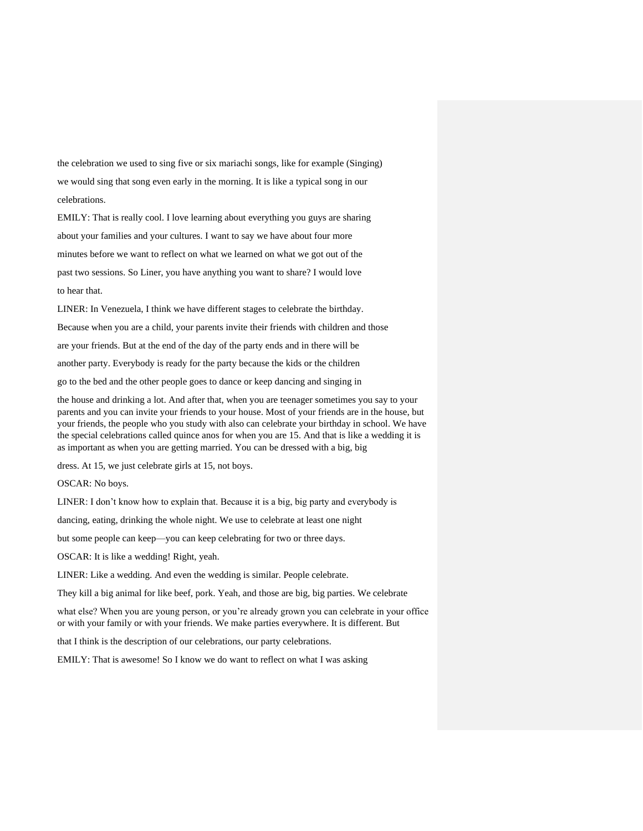the celebration we used to sing five or six mariachi songs, like for example (Singing) we would sing that song even early in the morning. It is like a typical song in our celebrations.

EMILY: That is really cool. I love learning about everything you guys are sharing about your families and your cultures. I want to say we have about four more minutes before we want to reflect on what we learned on what we got out of the past two sessions. So Liner, you have anything you want to share? I would love to hear that.

LINER: In Venezuela, I think we have different stages to celebrate the birthday. Because when you are a child, your parents invite their friends with children and those are your friends. But at the end of the day of the party ends and in there will be another party. Everybody is ready for the party because the kids or the children go to the bed and the other people goes to dance or keep dancing and singing in

the house and drinking a lot. And after that, when you are teenager sometimes you say to your parents and you can invite your friends to your house. Most of your friends are in the house, but your friends, the people who you study with also can celebrate your birthday in school. We have the special celebrations called quince anos for when you are 15. And that is like a wedding it is as important as when you are getting married. You can be dressed with a big, big

dress. At 15, we just celebrate girls at 15, not boys.

OSCAR: No boys.

LINER: I don't know how to explain that. Because it is a big, big party and everybody is

dancing, eating, drinking the whole night. We use to celebrate at least one night

but some people can keep—you can keep celebrating for two or three days.

OSCAR: It is like a wedding! Right, yeah.

LINER: Like a wedding. And even the wedding is similar. People celebrate.

They kill a big animal for like beef, pork. Yeah, and those are big, big parties. We celebrate

what else? When you are young person, or you're already grown you can celebrate in your office or with your family or with your friends. We make parties everywhere. It is different. But

that I think is the description of our celebrations, our party celebrations.

EMILY: That is awesome! So I know we do want to reflect on what I was asking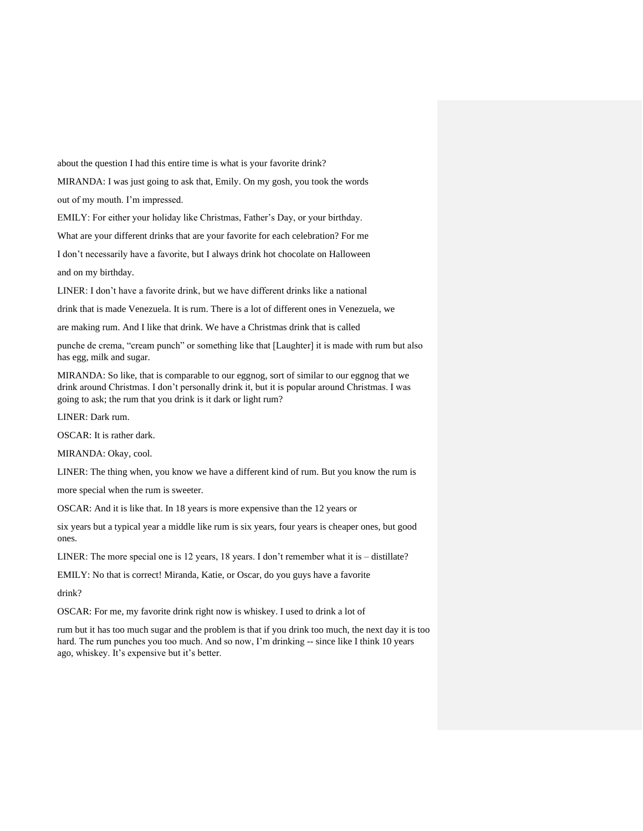about the question I had this entire time is what is your favorite drink?

MIRANDA: I was just going to ask that, Emily. On my gosh, you took the words

out of my mouth. I'm impressed.

EMILY: For either your holiday like Christmas, Father's Day, or your birthday.

What are your different drinks that are your favorite for each celebration? For me

I don't necessarily have a favorite, but I always drink hot chocolate on Halloween

and on my birthday.

LINER: I don't have a favorite drink, but we have different drinks like a national

drink that is made Venezuela. It is rum. There is a lot of different ones in Venezuela, we

are making rum. And I like that drink. We have a Christmas drink that is called

punche de crema, "cream punch" or something like that [Laughter] it is made with rum but also has egg, milk and sugar.

MIRANDA: So like, that is comparable to our eggnog, sort of similar to our eggnog that we drink around Christmas. I don't personally drink it, but it is popular around Christmas. I was going to ask; the rum that you drink is it dark or light rum?

LINER: Dark rum.

OSCAR: It is rather dark.

MIRANDA: Okay, cool.

LINER: The thing when, you know we have a different kind of rum. But you know the rum is

more special when the rum is sweeter.

OSCAR: And it is like that. In 18 years is more expensive than the 12 years or

six years but a typical year a middle like rum is six years, four years is cheaper ones, but good ones.

LINER: The more special one is 12 years, 18 years. I don't remember what it is – distillate?

EMILY: No that is correct! Miranda, Katie, or Oscar, do you guys have a favorite

drink?

OSCAR: For me, my favorite drink right now is whiskey. I used to drink a lot of

rum but it has too much sugar and the problem is that if you drink too much, the next day it is too hard. The rum punches you too much. And so now, I'm drinking -- since like I think 10 years ago, whiskey. It's expensive but it's better.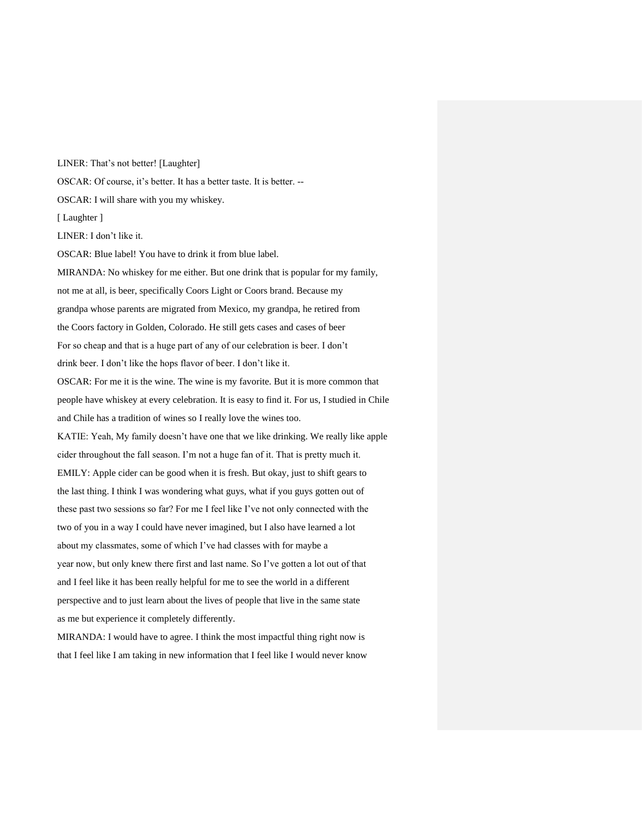LINER: That's not better! [Laughter] OSCAR: Of course, it's better. It has a better taste. It is better. -- OSCAR: I will share with you my whiskey. [ Laughter ] LINER: I don't like it. OSCAR: Blue label! You have to drink it from blue label. MIRANDA: No whiskey for me either. But one drink that is popular for my family, not me at all, is beer, specifically Coors Light or Coors brand. Because my grandpa whose parents are migrated from Mexico, my grandpa, he retired from the Coors factory in Golden, Colorado. He still gets cases and cases of beer For so cheap and that is a huge part of any of our celebration is beer. I don't drink beer. I don't like the hops flavor of beer. I don't like it. OSCAR: For me it is the wine. The wine is my favorite. But it is more common that people have whiskey at every celebration. It is easy to find it. For us, I studied in Chile and Chile has a tradition of wines so I really love the wines too. KATIE: Yeah, My family doesn't have one that we like drinking. We really like apple cider throughout the fall season. I'm not a huge fan of it. That is pretty much it. EMILY: Apple cider can be good when it is fresh. But okay, just to shift gears to the last thing. I think I was wondering what guys, what if you guys gotten out of these past two sessions so far? For me I feel like I've not only connected with the two of you in a way I could have never imagined, but I also have learned a lot about my classmates, some of which I've had classes with for maybe a year now, but only knew there first and last name. So I've gotten a lot out of that and I feel like it has been really helpful for me to see the world in a different perspective and to just learn about the lives of people that live in the same state as me but experience it completely differently.

MIRANDA: I would have to agree. I think the most impactful thing right now is that I feel like I am taking in new information that I feel like I would never know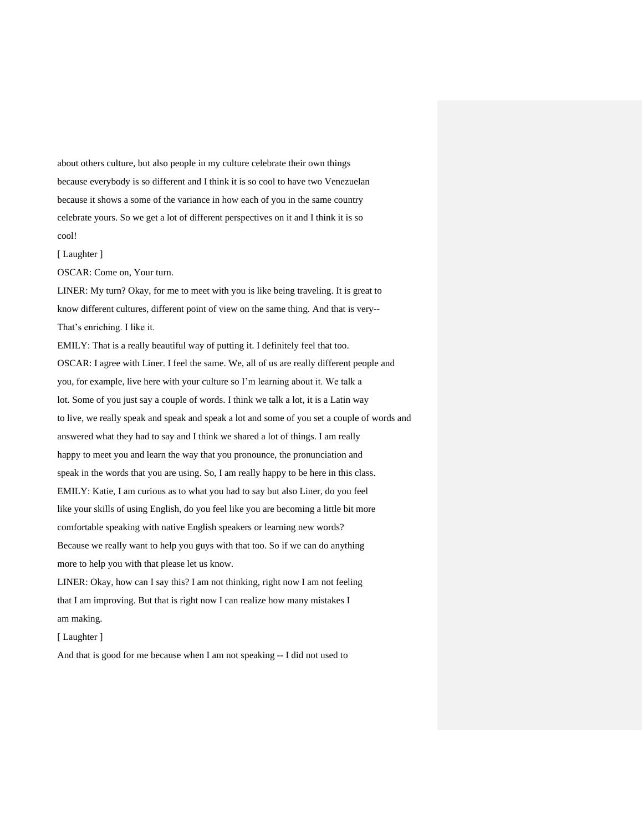about others culture, but also people in my culture celebrate their own things because everybody is so different and I think it is so cool to have two Venezuelan because it shows a some of the variance in how each of you in the same country celebrate yours. So we get a lot of different perspectives on it and I think it is so cool!

[Laughter ]

OSCAR: Come on, Your turn.

LINER: My turn? Okay, for me to meet with you is like being traveling. It is great to know different cultures, different point of view on the same thing. And that is very-- That's enriching. I like it.

EMILY: That is a really beautiful way of putting it. I definitely feel that too. OSCAR: I agree with Liner. I feel the same. We, all of us are really different people and you, for example, live here with your culture so I'm learning about it. We talk a lot. Some of you just say a couple of words. I think we talk a lot, it is a Latin way to live, we really speak and speak and speak a lot and some of you set a couple of words and answered what they had to say and I think we shared a lot of things. I am really happy to meet you and learn the way that you pronounce, the pronunciation and speak in the words that you are using. So, I am really happy to be here in this class. EMILY: Katie, I am curious as to what you had to say but also Liner, do you feel like your skills of using English, do you feel like you are becoming a little bit more comfortable speaking with native English speakers or learning new words? Because we really want to help you guys with that too. So if we can do anything more to help you with that please let us know.

LINER: Okay, how can I say this? I am not thinking, right now I am not feeling that I am improving. But that is right now I can realize how many mistakes I am making.

[ Laughter ]

And that is good for me because when I am not speaking -- I did not used to